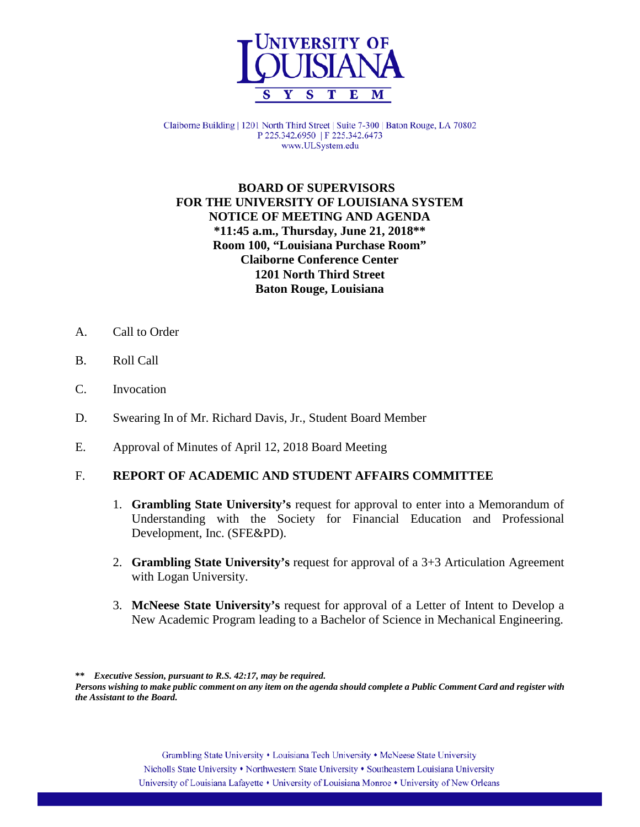

Claiborne Building | 1201 North Third Street | Suite 7-300 | Baton Rouge, LA 70802 P 225.342.6950 | F 225.342.6473 www.ULSystem.edu

## **BOARD OF SUPERVISORS FOR THE UNIVERSITY OF LOUISIANA SYSTEM NOTICE OF MEETING AND AGENDA \*11:45 a.m., Thursday, June 21, 2018\*\* Room 100, "Louisiana Purchase Room" Claiborne Conference Center 1201 North Third Street Baton Rouge, Louisiana**

- A. Call to Order
- B. Roll Call
- C. Invocation
- D. Swearing In of Mr. Richard Davis, Jr., Student Board Member
- E. Approval of Minutes of April 12, 2018 Board Meeting

#### F. **REPORT OF ACADEMIC AND STUDENT AFFAIRS COMMITTEE**

- 1. **Grambling State University's** request for approval to enter into a Memorandum of Understanding with the Society for Financial Education and Professional Development, Inc. (SFE&PD).
- 2. **Grambling State University's** request for approval of a 3+3 Articulation Agreement with Logan University.
- 3. **McNeese State University's** request for approval of a Letter of Intent to Develop a New Academic Program leading to a Bachelor of Science in Mechanical Engineering.

**\*\*** *Executive Session, pursuant to R.S. 42:17, may be required.*

*Persons wishing to make public comment on any item on the agenda should complete a Public Comment Card and register with the Assistant to the Board.*

> Grambling State University • Louisiana Tech University • McNeese State University Nicholls State University • Northwestern State University • Southeastern Louisiana University University of Louisiana Lafayette • University of Louisiana Monroe • University of New Orleans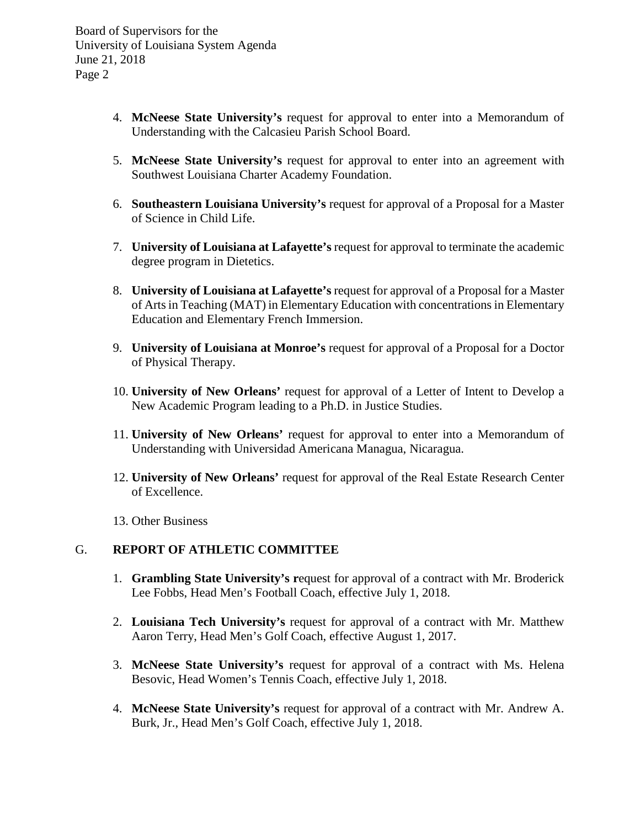- 4. **McNeese State University's** request for approval to enter into a Memorandum of Understanding with the Calcasieu Parish School Board.
- 5. **McNeese State University's** request for approval to enter into an agreement with Southwest Louisiana Charter Academy Foundation.
- 6. **Southeastern Louisiana University's** request for approval of a Proposal for a Master of Science in Child Life.
- 7. **University of Louisiana at Lafayette's** request for approval to terminate the academic degree program in Dietetics.
- 8. **University of Louisiana at Lafayette's** request for approval of a Proposal for a Master of Arts in Teaching (MAT) in Elementary Education with concentrations in Elementary Education and Elementary French Immersion.
- 9. **University of Louisiana at Monroe's** request for approval of a Proposal for a Doctor of Physical Therapy.
- 10. **University of New Orleans'** request for approval of a Letter of Intent to Develop a New Academic Program leading to a Ph.D. in Justice Studies.
- 11. **University of New Orleans'** request for approval to enter into a Memorandum of Understanding with Universidad Americana Managua, Nicaragua.
- 12. **University of New Orleans'** request for approval of the Real Estate Research Center of Excellence.
- 13. Other Business

#### G. **REPORT OF ATHLETIC COMMITTEE**

- 1. **Grambling State University's r**equest for approval of a contract with Mr. Broderick Lee Fobbs, Head Men's Football Coach, effective July 1, 2018.
- 2. **Louisiana Tech University's** request for approval of a contract with Mr. Matthew Aaron Terry, Head Men's Golf Coach, effective August 1, 2017.
- 3. **McNeese State University's** request for approval of a contract with Ms. Helena Besovic, Head Women's Tennis Coach, effective July 1, 2018.
- 4. **McNeese State University's** request for approval of a contract with Mr. Andrew A. Burk, Jr., Head Men's Golf Coach, effective July 1, 2018.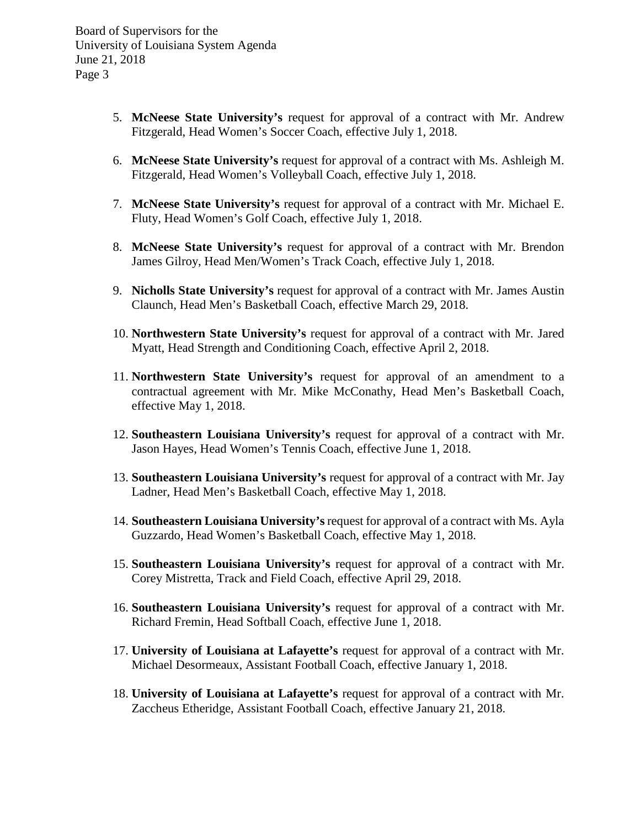- 5. **McNeese State University's** request for approval of a contract with Mr. Andrew Fitzgerald, Head Women's Soccer Coach, effective July 1, 2018.
- 6. **McNeese State University's** request for approval of a contract with Ms. Ashleigh M. Fitzgerald, Head Women's Volleyball Coach, effective July 1, 2018.
- 7. **McNeese State University's** request for approval of a contract with Mr. Michael E. Fluty, Head Women's Golf Coach, effective July 1, 2018.
- 8. **McNeese State University's** request for approval of a contract with Mr. Brendon James Gilroy, Head Men/Women's Track Coach, effective July 1, 2018.
- 9. **Nicholls State University's** request for approval of a contract with Mr. James Austin Claunch, Head Men's Basketball Coach, effective March 29, 2018.
- 10. **Northwestern State University's** request for approval of a contract with Mr. Jared Myatt, Head Strength and Conditioning Coach, effective April 2, 2018.
- 11. **Northwestern State University's** request for approval of an amendment to a contractual agreement with Mr. Mike McConathy, Head Men's Basketball Coach, effective May 1, 2018.
- 12. **Southeastern Louisiana University's** request for approval of a contract with Mr. Jason Hayes, Head Women's Tennis Coach, effective June 1, 2018.
- 13. **Southeastern Louisiana University's** request for approval of a contract with Mr. Jay Ladner, Head Men's Basketball Coach, effective May 1, 2018.
- 14. **Southeastern Louisiana University's** request for approval of a contract with Ms. Ayla Guzzardo, Head Women's Basketball Coach, effective May 1, 2018.
- 15. **Southeastern Louisiana University's** request for approval of a contract with Mr. Corey Mistretta, Track and Field Coach, effective April 29, 2018.
- 16. **Southeastern Louisiana University's** request for approval of a contract with Mr. Richard Fremin, Head Softball Coach, effective June 1, 2018.
- 17. **University of Louisiana at Lafayette's** request for approval of a contract with Mr. Michael Desormeaux, Assistant Football Coach, effective January 1, 2018.
- 18. **University of Louisiana at Lafayette's** request for approval of a contract with Mr. Zaccheus Etheridge, Assistant Football Coach, effective January 21, 2018.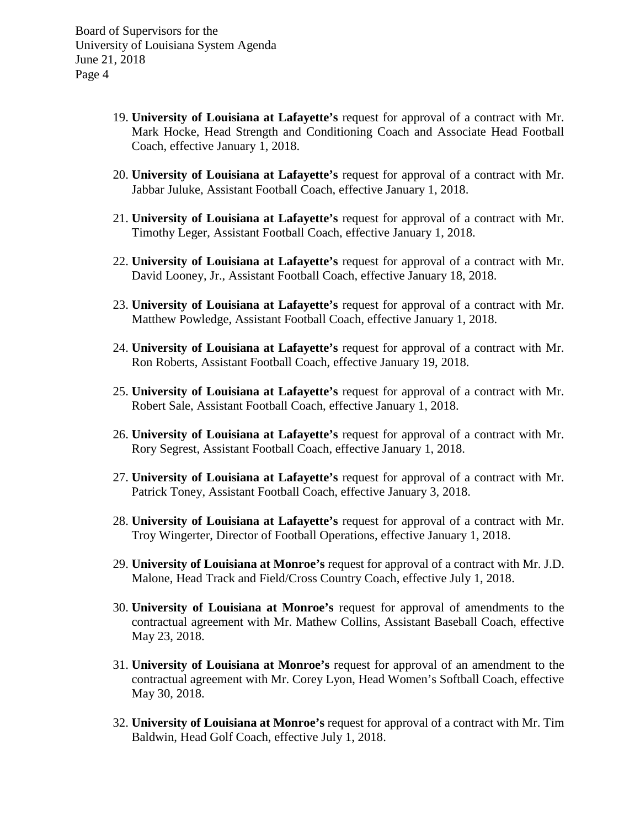- 19. **University of Louisiana at Lafayette's** request for approval of a contract with Mr. Mark Hocke, Head Strength and Conditioning Coach and Associate Head Football Coach, effective January 1, 2018.
- 20. **University of Louisiana at Lafayette's** request for approval of a contract with Mr. Jabbar Juluke, Assistant Football Coach, effective January 1, 2018.
- 21. **University of Louisiana at Lafayette's** request for approval of a contract with Mr. Timothy Leger, Assistant Football Coach, effective January 1, 2018.
- 22. **University of Louisiana at Lafayette's** request for approval of a contract with Mr. David Looney, Jr., Assistant Football Coach, effective January 18, 2018.
- 23. **University of Louisiana at Lafayette's** request for approval of a contract with Mr. Matthew Powledge, Assistant Football Coach, effective January 1, 2018.
- 24. **University of Louisiana at Lafayette's** request for approval of a contract with Mr. Ron Roberts, Assistant Football Coach, effective January 19, 2018.
- 25. **University of Louisiana at Lafayette's** request for approval of a contract with Mr. Robert Sale, Assistant Football Coach, effective January 1, 2018.
- 26. **University of Louisiana at Lafayette's** request for approval of a contract with Mr. Rory Segrest, Assistant Football Coach, effective January 1, 2018.
- 27. **University of Louisiana at Lafayette's** request for approval of a contract with Mr. Patrick Toney, Assistant Football Coach, effective January 3, 2018.
- 28. **University of Louisiana at Lafayette's** request for approval of a contract with Mr. Troy Wingerter, Director of Football Operations, effective January 1, 2018.
- 29. **University of Louisiana at Monroe's** request for approval of a contract with Mr. J.D. Malone, Head Track and Field/Cross Country Coach, effective July 1, 2018.
- 30. **University of Louisiana at Monroe's** request for approval of amendments to the contractual agreement with Mr. Mathew Collins, Assistant Baseball Coach, effective May 23, 2018.
- 31. **University of Louisiana at Monroe's** request for approval of an amendment to the contractual agreement with Mr. Corey Lyon, Head Women's Softball Coach, effective May 30, 2018.
- 32. **University of Louisiana at Monroe's** request for approval of a contract with Mr. Tim Baldwin, Head Golf Coach, effective July 1, 2018.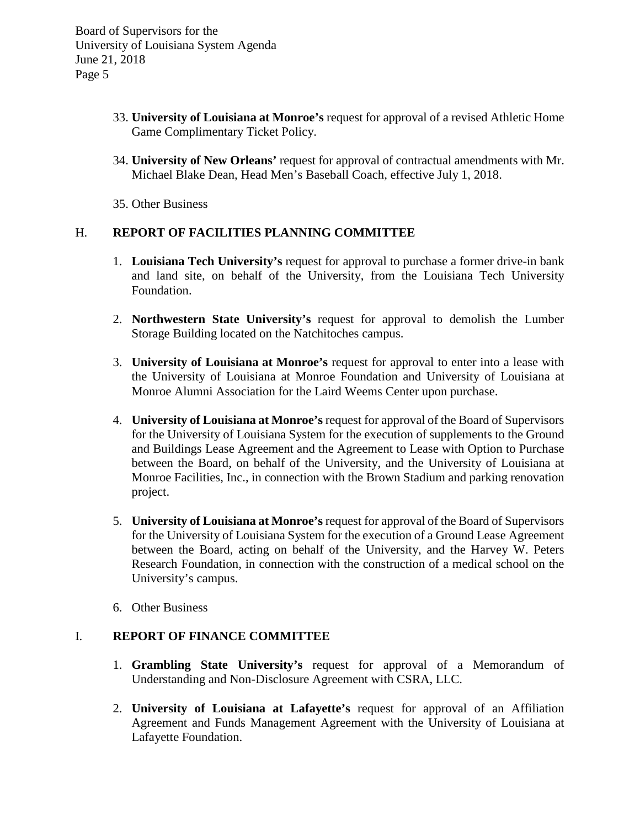- 33. **University of Louisiana at Monroe's** request for approval of a revised Athletic Home Game Complimentary Ticket Policy.
- 34. **University of New Orleans'** request for approval of contractual amendments with Mr. Michael Blake Dean, Head Men's Baseball Coach, effective July 1, 2018.
- 35. Other Business

# H. **REPORT OF FACILITIES PLANNING COMMITTEE**

- 1. **Louisiana Tech University's** request for approval to purchase a former drive-in bank and land site, on behalf of the University, from the Louisiana Tech University Foundation.
- 2. **Northwestern State University's** request for approval to demolish the Lumber Storage Building located on the Natchitoches campus.
- 3. **University of Louisiana at Monroe's** request for approval to enter into a lease with the University of Louisiana at Monroe Foundation and University of Louisiana at Monroe Alumni Association for the Laird Weems Center upon purchase.
- 4. **University of Louisiana at Monroe's** request for approval of the Board of Supervisors for the University of Louisiana System for the execution of supplements to the Ground and Buildings Lease Agreement and the Agreement to Lease with Option to Purchase between the Board, on behalf of the University, and the University of Louisiana at Monroe Facilities, Inc., in connection with the Brown Stadium and parking renovation project.
- 5. **University of Louisiana at Monroe's** request for approval of the Board of Supervisors for the University of Louisiana System for the execution of a Ground Lease Agreement between the Board, acting on behalf of the University, and the Harvey W. Peters Research Foundation, in connection with the construction of a medical school on the University's campus.
- 6. Other Business

# I. **REPORT OF FINANCE COMMITTEE**

- 1. **Grambling State University's** request for approval of a Memorandum of Understanding and Non-Disclosure Agreement with CSRA, LLC.
- 2. **University of Louisiana at Lafayette's** request for approval of an Affiliation Agreement and Funds Management Agreement with the University of Louisiana at Lafayette Foundation.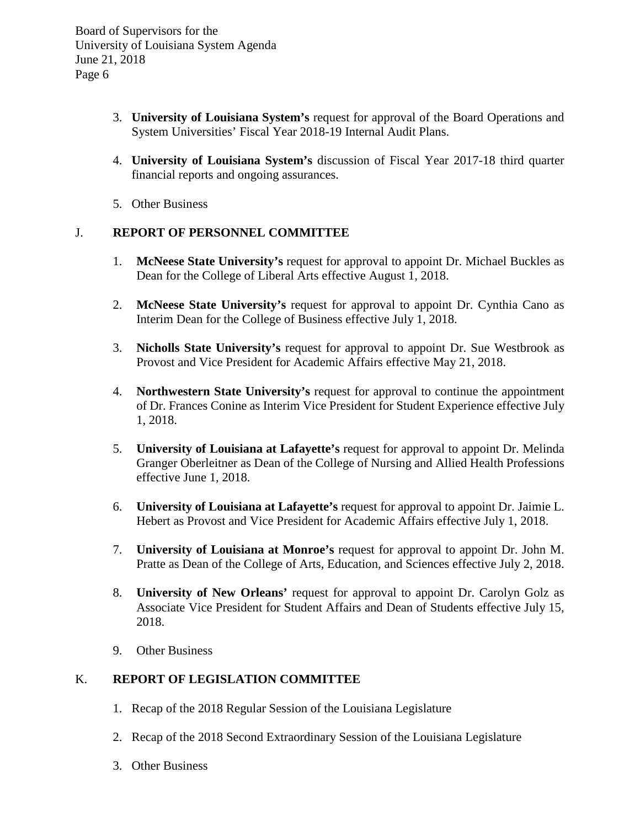- 3. **University of Louisiana System's** request for approval of the Board Operations and System Universities' Fiscal Year 2018-19 Internal Audit Plans.
- 4. **University of Louisiana System's** discussion of Fiscal Year 2017-18 third quarter financial reports and ongoing assurances.
- 5. Other Business

### J. **REPORT OF PERSONNEL COMMITTEE**

- 1. **McNeese State University's** request for approval to appoint Dr. Michael Buckles as Dean for the College of Liberal Arts effective August 1, 2018.
- 2. **McNeese State University's** request for approval to appoint Dr. Cynthia Cano as Interim Dean for the College of Business effective July 1, 2018.
- 3. **Nicholls State University's** request for approval to appoint Dr. Sue Westbrook as Provost and Vice President for Academic Affairs effective May 21, 2018.
- 4. **Northwestern State University's** request for approval to continue the appointment of Dr. Frances Conine as Interim Vice President for Student Experience effective July 1, 2018.
- 5. **University of Louisiana at Lafayette's** request for approval to appoint Dr. Melinda Granger Oberleitner as Dean of the College of Nursing and Allied Health Professions effective June 1, 2018.
- 6. **University of Louisiana at Lafayette's** request for approval to appoint Dr. Jaimie L. Hebert as Provost and Vice President for Academic Affairs effective July 1, 2018.
- 7. **University of Louisiana at Monroe's** request for approval to appoint Dr. John M. Pratte as Dean of the College of Arts, Education, and Sciences effective July 2, 2018.
- 8. **University of New Orleans'** request for approval to appoint Dr. Carolyn Golz as Associate Vice President for Student Affairs and Dean of Students effective July 15, 2018.
- 9. Other Business

### K. **REPORT OF LEGISLATION COMMITTEE**

- 1. Recap of the 2018 Regular Session of the Louisiana Legislature
- 2. Recap of the 2018 Second Extraordinary Session of the Louisiana Legislature
- 3. Other Business